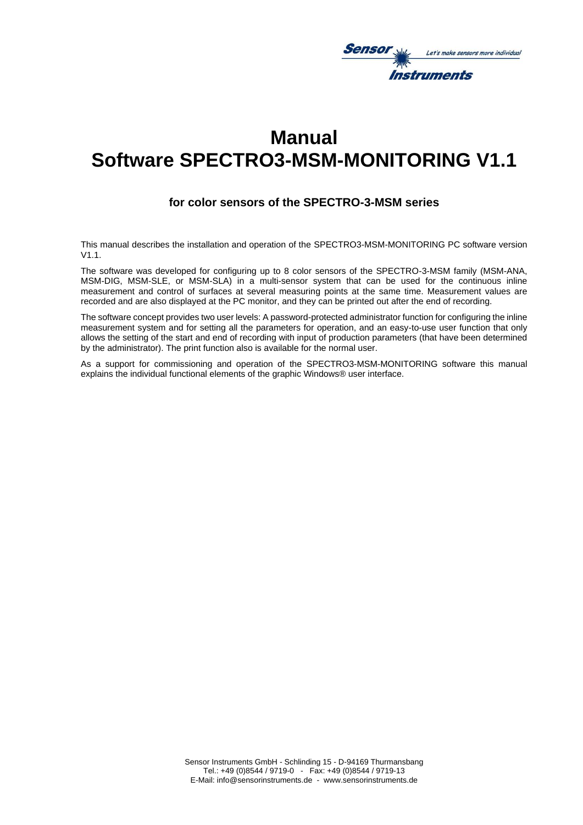

# **Manual Software SPECTRO3-MSM-MONITORING V1.1**

### **for color sensors of the SPECTRO-3-MSM series**

This manual describes the installation and operation of the SPECTRO3-MSM-MONITORING PC software version V1.1.

The software was developed for configuring up to 8 color sensors of the SPECTRO-3-MSM family (MSM-ANA, MSM-DIG, MSM-SLE, or MSM-SLA) in a multi-sensor system that can be used for the continuous inline measurement and control of surfaces at several measuring points at the same time. Measurement values are recorded and are also displayed at the PC monitor, and they can be printed out after the end of recording.

The software concept provides two user levels: A password-protected administrator function for configuring the inline measurement system and for setting all the parameters for operation, and an easy-to-use user function that only allows the setting of the start and end of recording with input of production parameters (that have been determined by the administrator). The print function also is available for the normal user.

As a support for commissioning and operation of the SPECTRO3-MSM-MONITORING software this manual explains the individual functional elements of the graphic Windows® user interface.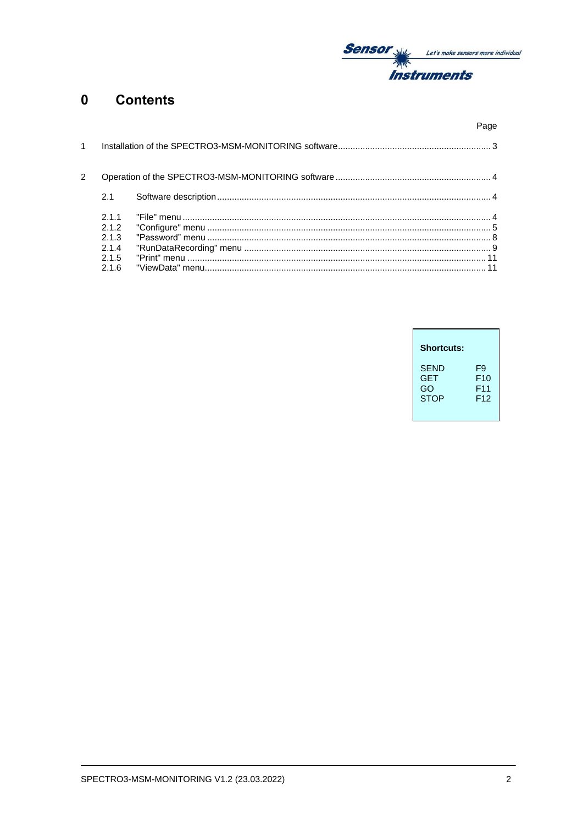

#### $\mathbf 0$ **Contents**

|   |                                                  | Page |
|---|--------------------------------------------------|------|
| 1 |                                                  |      |
| 2 |                                                  |      |
|   | 2.1                                              |      |
|   | 211<br>2.1.2<br>2.1.3<br>2.1.4<br>2.1.5<br>2.1.6 |      |

| <b>Shortcuts:</b>                       |                                     |
|-----------------------------------------|-------------------------------------|
| SEND<br><b>GET</b><br>GO<br><b>STOP</b> | F9<br>F10<br>F11<br>F <sub>12</sub> |
|                                         |                                     |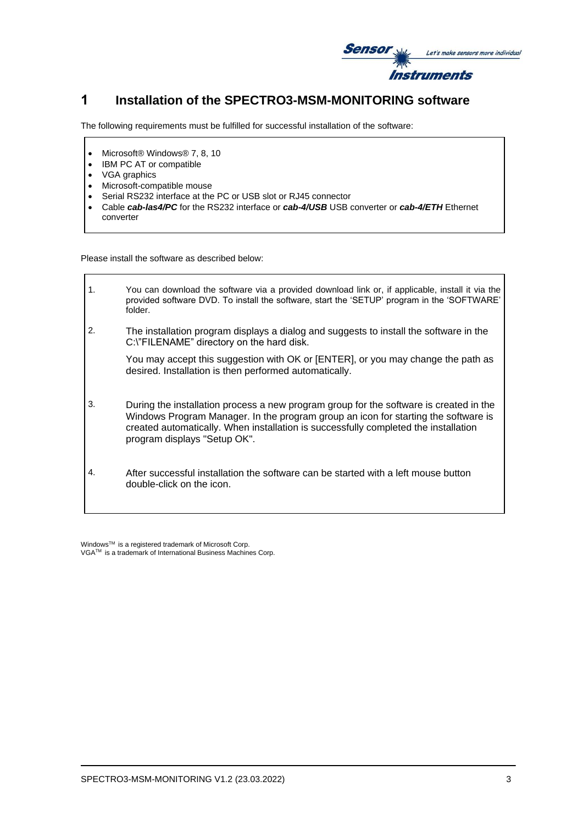

# **1 Installation of the SPECTRO3-MSM-MONITORING software**

The following requirements must be fulfilled for successful installation of the software:

- Microsoft® Windows® 7, 8, 10
- IBM PC AT or compatible
- VGA graphics

 $\overline{1}$ 

- Microsoft-compatible mouse
- Serial RS232 interface at the PC or USB slot or RJ45 connector
- Cable *cab-las4/PC* for the RS232 interface or *cab-4/USB* USB converter or *cab-4/ETH* Ethernet converter

Please install the software as described below:

| $\mathbf{1}$ . | You can download the software via a provided download link or, if applicable, install it via the<br>provided software DVD. To install the software, start the 'SETUP' program in the 'SOFTWARE'<br>folder.                                                                                          |
|----------------|-----------------------------------------------------------------------------------------------------------------------------------------------------------------------------------------------------------------------------------------------------------------------------------------------------|
| 2.             | The installation program displays a dialog and suggests to install the software in the<br>C:\"FILENAME" directory on the hard disk.                                                                                                                                                                 |
|                | You may accept this suggestion with OK or [ENTER], or you may change the path as<br>desired. Installation is then performed automatically.                                                                                                                                                          |
| 3.             | During the installation process a new program group for the software is created in the<br>Windows Program Manager. In the program group an icon for starting the software is<br>created automatically. When installation is successfully completed the installation<br>program displays "Setup OK". |
| 4.             | After successful installation the software can be started with a left mouse button<br>double-click on the icon.                                                                                                                                                                                     |

Windows<sup>™</sup> is a registered trademark of Microsoft Corp. VGA<sup>™</sup> is a trademark of International Business Machines Corp.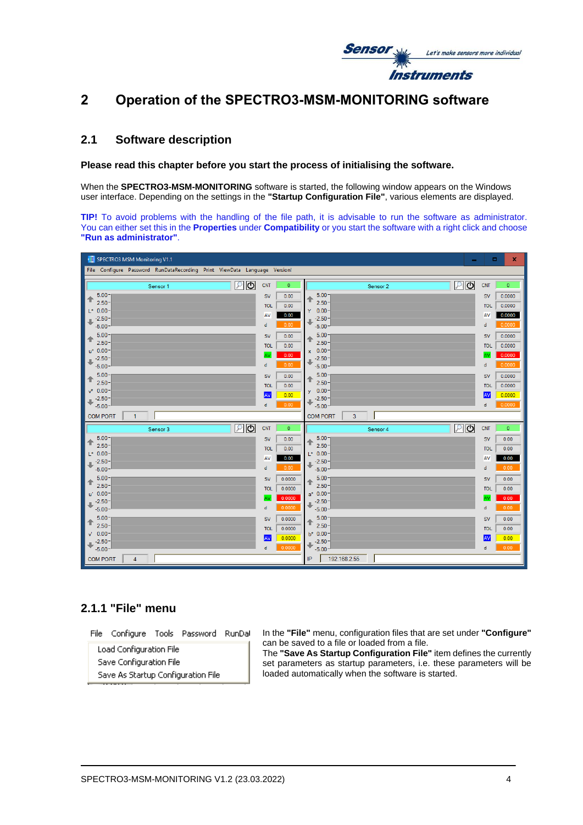

# **2 Operation of the SPECTRO3-MSM-MONITORING software**

### **2.1 Software description**

**Please read this chapter before you start the process of initialising the software.**

When the **SPECTRO3-MSM-MONITORING** software is started, the following window appears on the Windows user interface. Depending on the settings in the **"Startup Configuration File"**, various elements are displayed.

**TIP!** To avoid problems with the handling of the file path, it is advisable to run the software as administrator. You can either set this in the **Properties** under **Compatibility** or you start the software with a right click and choose **"Run as administrator"**.

| SPECTRO3 MSM Monitoring V1.1<br>$\mathbf x$<br>o<br>$\sim$                |                                         |                                   |                                             |  |  |  |
|---------------------------------------------------------------------------|-----------------------------------------|-----------------------------------|---------------------------------------------|--|--|--|
| File Configure Password RunDataRecording Print ViewData Language Version! |                                         |                                   |                                             |  |  |  |
| $\sqrt{2}$<br>Sensor 1                                                    | <b>CNT</b><br>$\circ$                   | உ<br>Sensor 2                     | <b>CNT</b><br>$\mathbf{0}$                  |  |  |  |
| 5.00 <sub>1</sub><br>↟<br>$2.50 -$                                        | 0.00<br><b>SV</b>                       | 5.00<br>个<br>$2.50 -$             | 0.0000<br><b>SV</b>                         |  |  |  |
| $L^*$ 0.00-                                                               | 0.00<br><b>TOL</b><br>0.00<br>AV        | $Y = 0.00 -$                      | 0.0000<br><b>TOL</b><br>AV<br>0.0000        |  |  |  |
| $-2.50-$<br>$-5.00$                                                       | 0.00<br>d                               | $-2.50-$<br>$-5.00 -$             | $\overline{d}$<br>0.0000                    |  |  |  |
| 5.00<br>⇑                                                                 | <b>SV</b><br>0.00                       | $5.00 -$<br>↟                     | 0.0000<br><b>SV</b>                         |  |  |  |
| $2.50 -$<br>$u^*$ 0.00-                                                   | <b>TOL</b><br>0.00                      | $2.50 -$<br>$x = 0.00 -$          | <b>TOL</b><br>0.0000                        |  |  |  |
| $-2.50-$<br>J                                                             | 0.00<br>AV                              | $-2.50-$                          | 0.0000<br><b>AV</b>                         |  |  |  |
| $-5.00$<br>$5.00 -$                                                       | 0.00<br>d                               | $-5.00 -$<br>$5.00 -$             | 0.0000<br>d                                 |  |  |  |
| ♠<br>$2.50 -$                                                             | <b>SV</b><br>0.00<br><b>TOL</b><br>0.00 | 个<br>$2.50 -$                     | <b>SV</b><br>0.0000<br>0.0000<br><b>TOL</b> |  |  |  |
| $0.00 -$<br>v*                                                            | AV<br>0.00                              | $y = 0.00 -$                      | <b>AV</b><br>0.0000                         |  |  |  |
| $-2.50 -$<br>$-5.00$                                                      | ď<br>0.00                               | $-2.50-$<br>$-5.00 -$             | 0.0000<br>d                                 |  |  |  |
| <b>COM PORT</b><br>$\mathbf{1}$                                           |                                         | <b>COM PORT</b><br>$\overline{3}$ |                                             |  |  |  |
| $\overline{c}$<br>$\mathcal{P}$<br>Sensor 3                               | <b>CNT</b><br>$\circ$                   | இ<br>Sensor 4                     | <b>CNT</b><br>$\bullet$                     |  |  |  |
| $5.00 -$<br>↟<br>$2.50 -$                                                 | 0.00<br><b>SV</b>                       | 5.00<br>$2.50 -$                  | <b>SV</b><br>0.00                           |  |  |  |
| $L^*$ 0.00-                                                               | <b>TOL</b><br>0.00<br>0.00<br>AV        | $L^*$ 0.00-                       | <b>TOL</b><br>0.00<br>0.00<br>AV            |  |  |  |
| $-2.50-$<br>$-5.00$                                                       | 0.00<br>d                               | $-2.50-$<br>$-5.00 -$             | 0.00<br>$\mathbf d$                         |  |  |  |
| 5.00                                                                      | <b>SV</b><br>0.0000                     | $5.00 -$                          | <b>SV</b><br>0.00                           |  |  |  |
| $2.50 -$                                                                  | <b>TOL</b><br>0.0000                    | $2.50 -$                          | <b>TOL</b><br>0.00                          |  |  |  |
| $0.00 -$<br>u"<br>$-2.50-$<br>д                                           | AV<br>0.0000                            | $a^*$ 0.00-<br>$-2.50-$           | AV<br>0.00                                  |  |  |  |
| $-5.00$                                                                   | 0.0000<br>d                             | $-5.00$                           | 0.00<br>d                                   |  |  |  |
| 5.00<br>⇑<br>$2.50 -$                                                     | <b>SV</b><br>0.0000                     | 5.00<br>$2.50 -$                  | <b>SV</b><br>0.00                           |  |  |  |
| $0.00 -$<br>V                                                             | <b>TOL</b><br>0.0000<br>AV<br>0.0000    | $b* 0.00 -$                       | <b>TOL</b><br>0.00<br><b>AV</b><br>0.00     |  |  |  |
| $-2.50-$<br>$-5.00$                                                       |                                         | $-2.50-$                          |                                             |  |  |  |
|                                                                           | 0.0000<br>d                             | $-5.00 -$                         | $\mathbf d$<br>0.00                         |  |  |  |

### **2.1.1 "File" menu**

File Configure Tools Password RunDal

Load Configuration File Save Configuration File Save As Startup Configuration File In the **"File"** menu, configuration files that are set under **"Configure"** can be saved to a file or loaded from a file.

The **"Save As Startup Configuration File"** item defines the currently set parameters as startup parameters, i.e. these parameters will be loaded automatically when the software is started.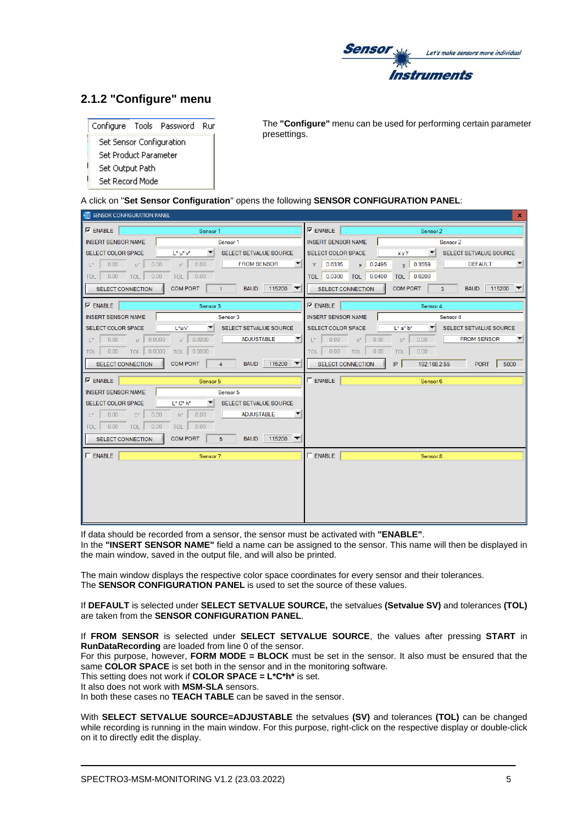

# **2.1.2 "Configure" menu**



The **"Configure"** menu can be used for performing certain parameter presettings.

#### A click on "**Set Sensor Configuration**" opens the following **SENSOR CONFIGURATION PANEL**:

| SENSOR CONFIGURATION PANEL                 |                                     |                                                            |                                          |                                    | $\mathbf{x}$                                                 |
|--------------------------------------------|-------------------------------------|------------------------------------------------------------|------------------------------------------|------------------------------------|--------------------------------------------------------------|
| $\nabla$ ENABLE                            | Sensor 1                            |                                                            | $\nabla$ ENABLE                          | Sensor 2                           |                                                              |
| <b>INSERT SENSOR NAME</b>                  |                                     | Sensor 1                                                   | <b>INSERT SENSOR NAME</b>                |                                    | Sensor 2                                                     |
| <b>SELECT COLOR SPACE</b>                  | $L^*$ u <sup>*</sup> v <sup>*</sup> | SELECT SETVALUE SOURCE                                     | <b>SELECT COLOR SPACE</b>                | $\blacktriangledown$<br><b>xyY</b> | SELECT SETVALUE SOURCE                                       |
| 0.00<br>0.00<br>$\mathbb{R}^*$<br>$u^*$    | 0.00<br>$v^*$                       | ▼<br><b>FROM SENSOR</b>                                    | 0.6335<br>0.2495<br>Y<br>$\mathbf{x}$    | 0.3559<br>y.                       | <b>DEFAULT</b>                                               |
| 0.00<br>0.00<br><b>TOL</b><br><b>TOL</b>   | 0.00<br><b>TOL</b>                  |                                                            | TOL 0.0300<br>0.0400<br><b>TOL</b>       | 0.0200<br><b>TOL</b>               |                                                              |
| <b>SELECT CONNECTION</b>                   | <b>COM PORT</b>                     | 115200 $\blacktriangledown$<br><b>BAUD</b><br>$\mathbf{1}$ | <b>SELECT CONNECTION</b>                 | <b>COM PORT</b>                    | 115200 $\blacktriangledown$<br>$\overline{3}$<br><b>BAUD</b> |
| $\nabla$ ENABLE                            | Sensor 3                            |                                                            | $\nabla$ ENABLE                          | Sensor 4                           |                                                              |
| <b>INSERT SENSOR NAME</b>                  |                                     | Sensor 3                                                   | <b>INSERT SENSOR NAME</b>                |                                    | Sensor 4                                                     |
| <b>SELECT COLOR SPACE</b>                  | L*u'v'                              | SELECT SETVALUE SOURCE                                     | <b>SELECT COLOR SPACE</b>                | $L^*$ a* $b^*$                     | SELECT SETVALUE SOURCE                                       |
| 0.00<br>0.0000<br>L*<br>$\mathbf{u}^*$     | 0.0000<br>$\sqrt{2}$                | ▼<br><b>ADJUSTABLE</b>                                     | 0.00<br>0.00<br>$L^*$<br>$a^*$           | $b^*$<br>0.00                      | <b>FROM SENSOR</b>                                           |
| 0.0000<br>0.00<br><b>TOL</b><br><b>TOL</b> | 0.0000<br><b>TOL</b>                |                                                            | 0.00<br>0.00<br><b>TOL</b><br><b>TOL</b> | 0.00<br><b>TOL</b>                 |                                                              |
| <b>SELECT CONNECTION</b>                   | <b>COM PORT</b>                     | 115200<br><b>BAUD</b><br>$\overline{4}$                    | <b>SELECT CONNECTION</b>                 | IP I<br>192.168.2.55               | 5000<br><b>PORT</b>                                          |
|                                            |                                     |                                                            |                                          |                                    |                                                              |
| $\nabla$ ENABLE                            | Sensor 5                            |                                                            | $\Gamma$ ENABLE                          | Sensor 6                           |                                                              |
| <b>INSERT SENSOR NAME</b>                  |                                     | Sensor 5                                                   |                                          |                                    |                                                              |
| <b>SELECT COLOR SPACE</b>                  | $L^* C^* h^*$                       | SELECT SETVALUE SOURCE                                     |                                          |                                    |                                                              |
| 0.00<br>0.00<br>L*<br>$C^*$                | 0.00<br>$h^*$                       | <b>ADJUSTABLE</b><br>▼                                     |                                          |                                    |                                                              |
| 0.00<br>0.00<br><b>TOL</b><br><b>TOL</b>   | 0.00<br><b>TOL</b>                  |                                                            |                                          |                                    |                                                              |
| <b>SELECT CONNECTION</b>                   | <b>COM PORT</b>                     | <b>BAUD</b><br>115200<br>5                                 |                                          |                                    |                                                              |
| $\Gamma$ ENABLE                            | Sensor 7                            |                                                            | $\Gamma$ ENABLE                          | Sensor 8                           |                                                              |
|                                            |                                     |                                                            |                                          |                                    |                                                              |
|                                            |                                     |                                                            |                                          |                                    |                                                              |
|                                            |                                     |                                                            |                                          |                                    |                                                              |
|                                            |                                     |                                                            |                                          |                                    |                                                              |

If data should be recorded from a sensor, the sensor must be activated with **"ENABLE"**. In the **"INSERT SENSOR NAME"** field a name can be assigned to the sensor. This name will then be displayed in the main window, saved in the output file, and will also be printed.

The main window displays the respective color space coordinates for every sensor and their tolerances. The **SENSOR CONFIGURATION PANEL** is used to set the source of these values.

If **DEFAULT** is selected under **SELECT SETVALUE SOURCE,** the setvalues **(Setvalue SV)** and tolerances **(TOL)**  are taken from the **SENSOR CONFIGURATION PANEL**.

If **FROM SENSOR** is selected under **SELECT SETVALUE SOURCE**, the values after pressing **START** in **RunDataRecording** are loaded from line 0 of the sensor.

For this purpose, however, **FORM MODE = BLOCK** must be set in the sensor. It also must be ensured that the same **COLOR SPACE** is set both in the sensor and in the monitoring software.

This setting does not work if **COLOR SPACE = L\*C\*h\*** is set.

It also does not work with **MSM-SLA** sensors.

In both these cases no **TEACH TABLE** can be saved in the sensor.

With **SELECT SETVALUE SOURCE=ADJUSTABLE** the setvalues **(SV)** and tolerances **(TOL)** can be changed while recording is running in the main window. For this purpose, right-click on the respective display or double-click on it to directly edit the display.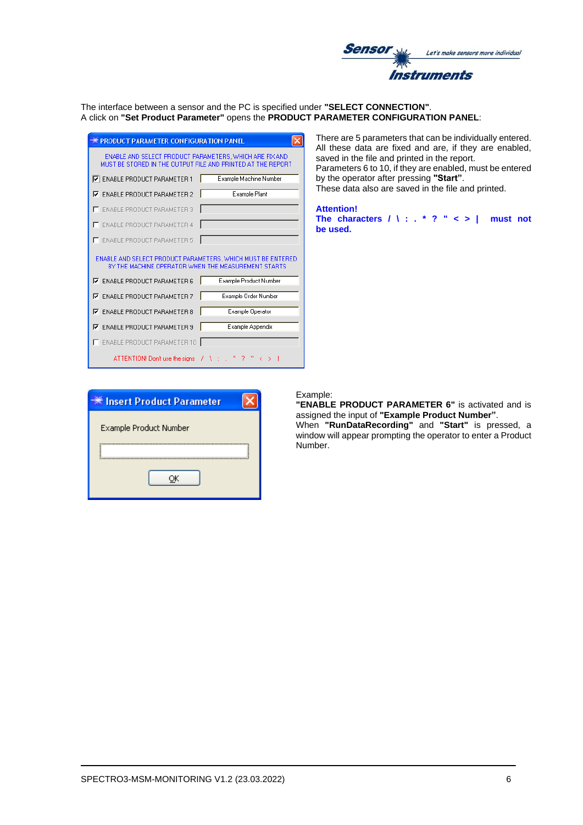

The interface between a sensor and the PC is specified under **"SELECT CONNECTION"**. A click on **"Set Product Parameter"** opens the **PRODUCT PARAMETER CONFIGURATION PANEL**:

| <b>PRODUCT PARAMETER CONFIGURATION PANEL</b>                                                                           |                        |
|------------------------------------------------------------------------------------------------------------------------|------------------------|
| ENABLE AND SELECT PRODUCT PARAMETERS, WHICH ARE FIX AND<br>MUST BE STORED IN THE OUTPUT FILE AND PRINTED AT THE REPORT |                        |
| <b>V</b> : ENABLE PRODUCT PARAMETER 1                                                                                  | Example Machine Number |
| <b>ENABLE PRODUCT PARAMETER 2</b><br>☞                                                                                 | Example Plant          |
| <b>ENABLE PRODUCT PARAMETER 3</b>                                                                                      |                        |
| <b>ENABLE PRODUCT PARAMETER 4</b>                                                                                      |                        |
| <b>ENABLE PRODUCT PARAMETER 5</b>                                                                                      |                        |
| ENABLE AND SELECT PRODUCT PARAMETERS, WHICH MUST BE ENTERED<br>BY THE MACHINE OPERATOR WHEN THE MEASUREMENT STARTS     |                        |
| <b>▽ ENABLE PRODUCT PARAMETER 6</b>                                                                                    | Example Product Number |
| <b>ENABLE PRODUCT PARAMETER 7</b><br>⊽⊹                                                                                | Example Order Number   |
| <b>ENABLE PRODUCT PARAMETER 8</b><br>⊽                                                                                 | Example Operator       |
| <b>ENABLE PRODUCT PARAMETER 9</b><br>☞                                                                                 | Example Appendix       |
| <b>ENABLE PRODUCT PARAMETER 10</b>                                                                                     |                        |
| ATTENTION! Don't use the signs $\left\vert Z_{\pm}\right\rangle$ ( $\left\vert \pm\right\rangle$                       |                        |

| ※ Insert Product Parameter |  |
|----------------------------|--|
| Example Product Number     |  |
|                            |  |
|                            |  |
|                            |  |

There are 5 parameters that can be individually entered. All these data are fixed and are, if they are enabled, saved in the file and printed in the report. Parameters 6 to 10, if they are enabled, must be entered by the operator after pressing **"Start"**.

These data also are saved in the file and printed.

**Attention! The characters / \ : . \* ? " < > | must not be used.**

#### Example:

**"ENABLE PRODUCT PARAMETER 6"** is activated and is assigned the input of **"Example Product Number"**. When **"RunDataRecording"** and **"Start"** is pressed, a

window will appear prompting the operator to enter a Product Number.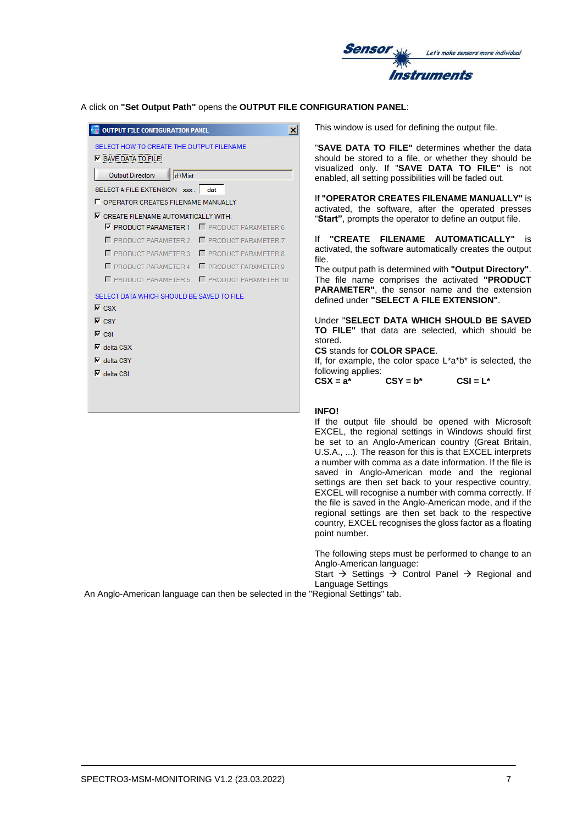

#### A click on **"Set Output Path"** opens the **OUTPUT FILE CONFIGURATION PANEL**:

| <b>OUTPUT FILE CONFIGURATION PANEL</b><br>×                            |
|------------------------------------------------------------------------|
| SELECT HOW TO CREATE THE OUTPUT FILENAME<br><b>▽ SAVE DATA TO FILE</b> |
| d:\Mist<br><b>Output Directory</b>                                     |
| SELECT A FILE EXTENSION xxx. dat                                       |
| OPFRATOR CREATES FILENAME MANUALLY                                     |
| $\nabla$ CREATE FILENAME AUTOMATICALLY WITH:                           |
| $\nabla$ <b>PRODUCT PARAMETER 1</b> $\Gamma$ PRODUCT PARAMETER 6       |
| $\Box$ PRODUCT PARAMETER 2 $\Box$ PRODUCT PARAMETER 7                  |
| $\Box$ PRODUCT PARAMETER 3 $\Box$ PRODUCT PARAMETER 8                  |
| PRODUCT PARAMETER 4 <b>F</b> PRODUCT PARAMETER 9                       |
| F PRODUCT PARAMETER 5 F PRODUCT PARAMETER 10                           |
| SELECT DATA WHICH SHOULD BE SAVED TO FILE                              |
| $\nabla$ CSX                                                           |
| $\nabla$ CSY                                                           |
| $\nabla$ csi                                                           |
| $\nabla$ delta CSX                                                     |
| $\overline{\mathsf{v}}$ delta CSY                                      |
| $\nabla$ delta CSI                                                     |
|                                                                        |
|                                                                        |
|                                                                        |

This window is used for defining the output file.

"**SAVE DATA TO FILE"** determines whether the data should be stored to a file, or whether they should be visualized only. If "**SAVE DATA TO FILE"** is not enabled, all setting possibilities will be faded out.

If **"OPERATOR CREATES FILENAME MANUALLY"** is activated, the software, after the operated presses "**Start"**, prompts the operator to define an output file.

If **"CREATE FILENAME AUTOMATICALLY"** is activated, the software automatically creates the output file.

The output path is determined with **"Output Directory"**. The file name comprises the activated **"PRODUCT PARAMETER"**, the sensor name and the extension defined under **"SELECT A FILE EXTENSION"**.

Under "**SELECT DATA WHICH SHOULD BE SAVED TO FILE"** that data are selected, which should be stored.

**CS** stands for **COLOR SPACE**.

If, for example, the color space L\*a\*b\* is selected, the

following applies:<br> $CSX = a^*$  $CSY = b^*$   $CSI = L^*$ 

#### **INFO!**

If the output file should be opened with Microsoft EXCEL, the regional settings in Windows should first be set to an Anglo-American country (Great Britain, U.S.A., ...). The reason for this is that EXCEL interprets a number with comma as a date information. If the file is saved in Anglo-American mode and the regional settings are then set back to your respective country, EXCEL will recognise a number with comma correctly. If the file is saved in the Anglo-American mode, and if the regional settings are then set back to the respective country, EXCEL recognises the gloss factor as a floating point number.

The following steps must be performed to change to an Anglo-American language:

Start  $\rightarrow$  Settings  $\rightarrow$  Control Panel  $\rightarrow$  Regional and Language Settings

An Anglo-American language can then be selected in the "Regional Settings" tab.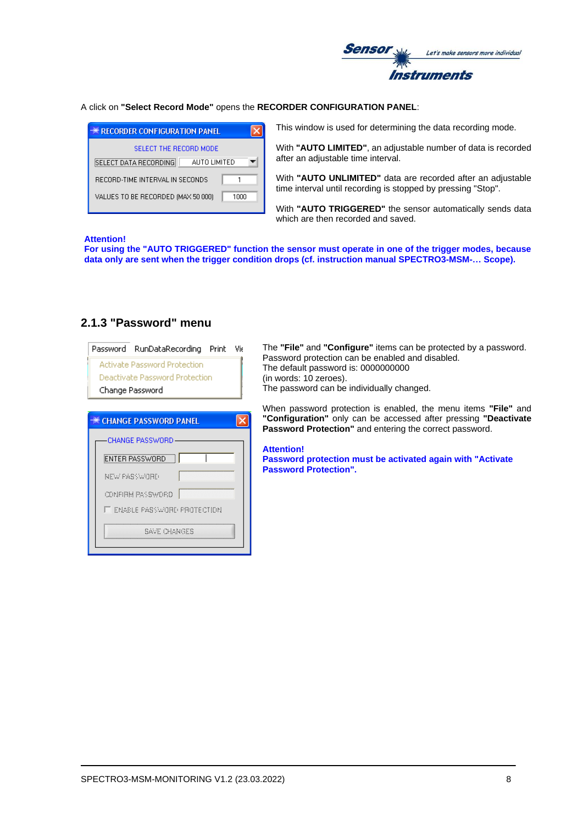

#### A click on **"Select Record Mode"** opens the **RECORDER CONFIGURATION PANEL**:



This window is used for determining the data recording mode.

With **"AUTO LIMITED"**, an adjustable number of data is recorded after an adjustable time interval.

With **"AUTO UNLIMITED"** data are recorded after an adjustable time interval until recording is stopped by pressing "Stop".

With **"AUTO TRIGGERED"** the sensor automatically sends data which are then recorded and saved.

#### **Attention!**

**For using the "AUTO TRIGGERED" function the sensor must operate in one of the trigger modes, because data only are sent when the trigger condition drops (cf. instruction manual SPECTRO3-MSM-… Scope).**

### **2.1.3 "Password" menu**

### Password RunDataRecording Print Vie

**Activate Password Protection Deactivate Password Protection** Change Password

| <b>EXAMPLE PASSWORD PANEL</b> |  |
|-------------------------------|--|
| <b>CHANGE PASSWORD</b>        |  |
| ENTER PASSWORD                |  |
| <b>NEW PASSWORD</b>           |  |
| Ì<br>CONFIRM PASSWORD         |  |
| IT ENABLE PASSWORD PROTECTION |  |
| SAVE CHANGES                  |  |
|                               |  |

The **"File"** and **"Configure"** items can be protected by a password. Password protection can be enabled and disabled. The default password is: 0000000000 (in words: 10 zeroes). The password can be individually changed.

When password protection is enabled, the menu items **"File"** and **"Configuration"** only can be accessed after pressing **"Deactivate Password Protection"** and entering the correct password.

**Attention!**

**Password protection must be activated again with "Activate Password Protection".**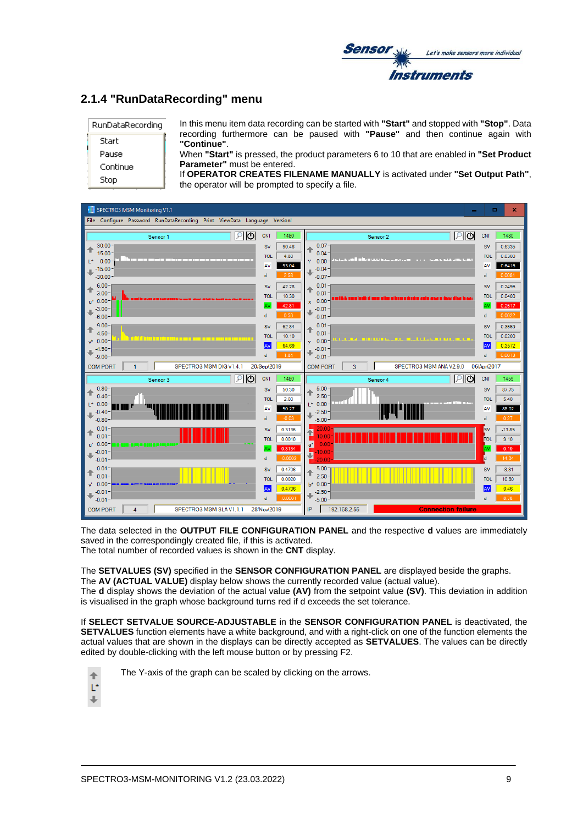

# **2.1.4 "RunDataRecording" menu**

| RunDataRecording | In this menu item data recording can be started with "Start" and stopped with "Stop". Data                                      |
|------------------|---------------------------------------------------------------------------------------------------------------------------------|
| Start            | recording furthermore can be paused with "Pause" and then continue again with<br>"Continue".                                    |
| Pause            | When "Start" is pressed, the product parameters 6 to 10 that are enabled in "Set Product"                                       |
| Continue         | <b>Parameter</b> " must be entered.                                                                                             |
| Stop.            | If OPERATOR CREATES FILENAME MANUALLY is activated under "Set Output Path",<br>the operator will be prompted to specify a file. |

| SPECTRO3 MSM Monitoring V1.1                                                                                                                                          |                                                                                                                                                                                                                                           |                                                                                                                                                                                                                                 |                                                                                                                  |                                                                                                         |
|-----------------------------------------------------------------------------------------------------------------------------------------------------------------------|-------------------------------------------------------------------------------------------------------------------------------------------------------------------------------------------------------------------------------------------|---------------------------------------------------------------------------------------------------------------------------------------------------------------------------------------------------------------------------------|------------------------------------------------------------------------------------------------------------------|---------------------------------------------------------------------------------------------------------|
| Configure Password RunDataRecording Print ViewData Language Version!<br>File                                                                                          |                                                                                                                                                                                                                                           |                                                                                                                                                                                                                                 |                                                                                                                  |                                                                                                         |
| உ<br>Sensor 1                                                                                                                                                         | <b>CNT</b><br>1480                                                                                                                                                                                                                        | உ<br>Sensor 2                                                                                                                                                                                                                   | <b>CNT</b>                                                                                                       | 1480                                                                                                    |
| 30.00<br>15.00<br>0.00<br>$\mathbf{L}^{\star}$<br>$-15.00$                                                                                                            | <b>SV</b><br>90.46<br><b>TOL</b><br>4.80<br>93.04<br>AV<br>2.58                                                                                                                                                                           | 0.07<br>↟<br>$0.04 -$<br>والمتحدث والملائك المتماري والمناسب<br>$0.00 -$<br>Y<br>$-0.04 -$                                                                                                                                      | <b>SV</b><br><b>TOL</b><br>AV                                                                                    | 0.6335<br>0.0300<br>0.6416                                                                              |
| $-30.00$<br>6.00<br>3.00<br>$u^*$ 0.00<br>$-3.00$<br>$-6.00$                                                                                                          | d<br><b>SV</b><br>42.28<br><b>TOL</b><br>10.30<br>42.81<br>AV<br>0.53<br>d                                                                                                                                                                | $-0.07$<br>0.01<br>个<br>$0.01 -$<br>$x = 0.00$<br>$-0.01$<br>۰<br>$-0.01$                                                                                                                                                       | d<br><b>SV</b><br><b>TOL</b><br>AV<br>d                                                                          | 0.0081<br>0.2495<br>0.0400<br>0.2517<br>0.0022                                                          |
| 9.00<br>4.50<br>0.00<br>v*<br>$-4.50$<br>$-9.00$<br>SPECTRO3 MSM DIG V1.4.1<br>п                                                                                      | <b>SV</b><br>62.84<br><b>TOL</b><br>10.10<br>AV<br>64.69<br>d<br>1.84<br>20/Sep/2019                                                                                                                                                      | 0.01<br>↟<br>$0.01 -$<br>$0.00 -$<br>y<br>$-0.01 -$<br>J<br>$-0.01 -$<br>SPECTRO3 MSM ANA V2.9.0                                                                                                                                | <b>SV</b><br><b>TOL</b><br><b>AV</b><br>d<br>06/Apr/2017                                                         | 0.3559<br>0.0200<br>0.3572<br>0.0013                                                                    |
| <b>COM PORT</b><br>$\overline{c}$<br>$\mathcal{P}$<br>Sensor 3                                                                                                        | <b>CNT</b><br>1480                                                                                                                                                                                                                        | <b>COM PORT</b><br>3<br>$\mathcal{P}$<br>Sensor 4                                                                                                                                                                               | $\overline{c}$<br><b>CNT</b>                                                                                     | 1459                                                                                                    |
| 0.80<br>$0.40 -$<br>0.00<br>III III III F<br>$-0.40$<br>$-0.80$<br>0.01<br>0.01<br>$u'$ 0.00<br>$-0.01$<br>$-0.01$<br>0.01<br>0.01<br>0.00<br>v<br>$-0.01$<br>$-0.01$ | <b>SV</b><br>50.30<br><b>TOL</b><br>2.00<br>50.27<br>AV<br>d<br>$-0.03$<br>0.3136<br><b>SV</b><br><b>TOL</b><br>0.0010<br>AV<br>0.3134<br>$-0.0002$<br>d<br><b>SV</b><br>0.4706<br><b>TOL</b><br>0.0020<br>AV<br>0.4706<br>d<br>$-0.0001$ | 5.00<br>€<br>$2.50 -$<br>$L^*$ 0.00<br>$-2.50-$<br>ä<br>$-5.00 -$<br>20.00<br>Ł<br>10.00 <sub>1</sub><br>0.00 <sub>1</sub><br>$a^*$<br>ų<br>$-10.00$<br>$-20.00$<br>5.00<br>⇑<br>$2.50 -$<br>$b* 0.00$<br>$-2.50-$<br>$-5.00 -$ | <b>SV</b><br><b>TOL</b><br>AV<br>d<br><b>sv</b><br><b>TOL</b><br>lav.<br>d<br><b>SV</b><br><b>TOL</b><br>AV<br>d | 87.75<br>5.40<br>88.02<br>0.27<br>$-13.85$<br>9.10<br>0.19<br>14.04<br>$-8.31$<br>10.80<br>0.46<br>8.78 |
|                                                                                                                                                                       |                                                                                                                                                                                                                                           |                                                                                                                                                                                                                                 |                                                                                                                  |                                                                                                         |

The data selected in the **OUTPUT FILE CONFIGURATION PANEL** and the respective **d** values are immediately saved in the correspondingly created file, if this is activated.

The total number of recorded values is shown in the **CNT** display.

The **SETVALUES (SV)** specified in the **SENSOR CONFIGURATION PANEL** are displayed beside the graphs. The **AV (ACTUAL VALUE)** display below shows the currently recorded value (actual value).

The **d** display shows the deviation of the actual value **(AV)** from the setpoint value **(SV)**. This deviation in addition is visualised in the graph whose background turns red if d exceeds the set tolerance.

If **SELECT SETVALUE SOURCE-ADJUSTABLE** in the **SENSOR CONFIGURATION PANEL** is deactivated, the **SETVALUES** function elements have a white background, and with a right-click on one of the function elements the actual values that are shown in the displays can be directly accepted as **SETVALUES**. The values can be directly edited by double-clicking with the left mouse button or by pressing F2.

The Y-axis of the graph can be scaled by clicking on the arrows.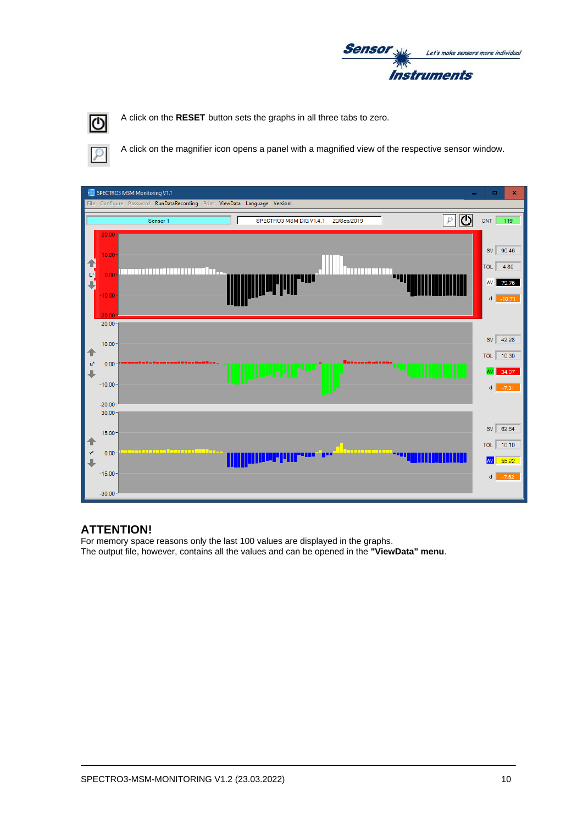



Ω

A click on the **RESET** button sets the graphs in all three tabs to zero.

A click on the magnifier icon opens a panel with a magnified view of the respective sensor window.



### **ATTENTION!**

For memory space reasons only the last 100 values are displayed in the graphs. The output file, however, contains all the values and can be opened in the **"ViewData" menu**.